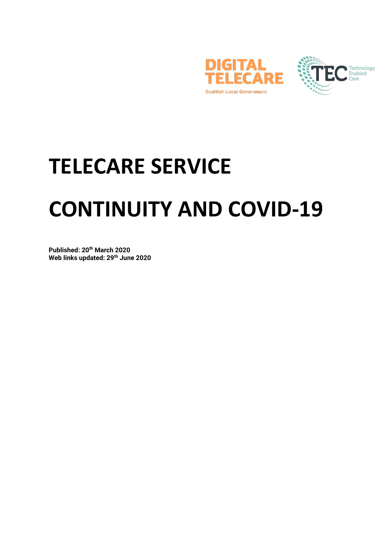



# **TELECARE SERVICE CONTINUITY AND COVID-19**

**Published: 20th March 2020 Web links updated: 29th June 2020**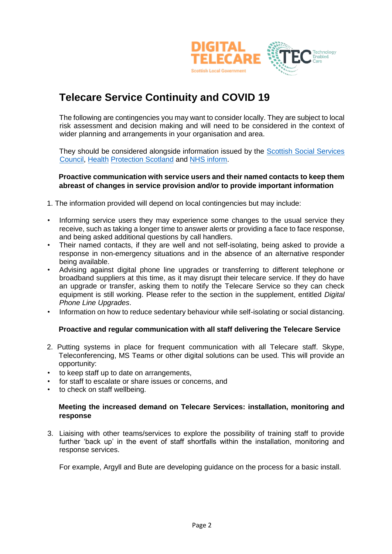

# **Telecare Service Continuity and COVID 19**

The following are contingencies you may want to consider locally. They are subject to local risk assessment and decision making and will need to be considered in the context of wider planning and arrangements in your organisation and area.

They should be considered alongside information issued by the Scottish Social Services [Council](https://learn.sssc.uk.com/coronavirus/infectioncontrol/)[,](https://www.gov.scot/coronavirus-covid-19/) [Health](https://www.hps.scot.nhs.uk/web-resources-container/covid-19-information-and-guidance-for-social-or-community-care-residential-settings/) [Protection Scotland](https://www.hps.scot.nhs.uk/web-resources-container/covid-19-information-and-guidance-for-social-or-community-care-residential-settings/) and [NHS inform.](https://www.nhsinform.scot/coronavirus)

### **Proactive communication with service users and their named contacts to keep them abreast of changes in service provision and/or to provide important information**

- 1. The information provided will depend on local contingencies but may include:
- Informing service users they may experience some changes to the usual service they receive, such as taking a longer time to answer alerts or providing a face to face response, and being asked additional questions by call handlers.
- Their named contacts, if they are well and not self-isolating, being asked to provide a response in non-emergency situations and in the absence of an alternative responder being available.
- Advising against digital phone line upgrades or transferring to different telephone or broadband suppliers at this time, as it may disrupt their telecare service. If they do have an upgrade or transfer, asking them to notify the Telecare Service so they can check equipment is still working. Please refer to the section in the supplement, entitled *Digital Phone Line Upgrades*.
- Information on how to reduce sedentary behaviour while self-isolating or social distancing.

### **Proactive and regular communication with all staff delivering the Telecare Service**

- 2. Putting systems in place for frequent communication with all Telecare staff. Skype, Teleconferencing, MS Teams or other digital solutions can be used. This will provide an opportunity:
- to keep staff up to date on arrangements,
- for staff to escalate or share issues or concerns, and
- to check on staff wellbeing.

### **Meeting the increased demand on Telecare Services: installation, monitoring and response**

3. Liaising with other teams/services to explore the possibility of training staff to provide further 'back up' in the event of staff shortfalls within the installation, monitoring and response services.

For example, Argyll and Bute are developing guidance on the process for a basic install.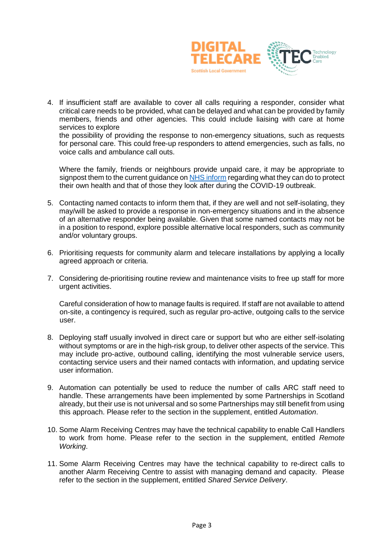

4. If insufficient staff are available to cover all calls requiring a responder, consider what critical care needs to be provided, what can be delayed and what can be provided by family members, friends and other agencies. This could include liaising with care at home services to explore

the possibility of providing the response to non-emergency situations, such as requests for personal care. This could free-up responders to attend emergencies, such as falls, no voice calls and ambulance call outs.

Where the family, friends or neighbours provide unpaid care, it may be appropriate to signpost them to the current guidance o[n NHS inform](https://www.nhsinform.scot/coronavirus) regarding what they can do to protect their own health and that of those they look after during the COVID-19 outbreak.

- 5. Contacting named contacts to inform them that, if they are well and not self-isolating, they may/will be asked to provide a response in non-emergency situations and in the absence of an alternative responder being available. Given that some named contacts may not be in a position to respond, explore possible alternative local responders, such as community and/or voluntary groups.
- 6. Prioritising requests for community alarm and telecare installations by applying a locally agreed approach or criteria.
- 7. Considering de-prioritising routine review and maintenance visits to free up staff for more urgent activities.

Careful consideration of how to manage faults is required. If staff are not available to attend on-site, a contingency is required, such as regular pro-active, outgoing calls to the service user.

- 8. Deploying staff usually involved in direct care or support but who are either self-isolating without symptoms or are in the high-risk group, to deliver other aspects of the service. This may include pro-active, outbound calling, identifying the most vulnerable service users, contacting service users and their named contacts with information, and updating service user information.
- 9. Automation can potentially be used to reduce the number of calls ARC staff need to handle. These arrangements have been implemented by some Partnerships in Scotland already, but their use is not universal and so some Partnerships may still benefit from using this approach. Please refer to the section in the supplement, entitled *Automation*.
- 10. Some Alarm Receiving Centres may have the technical capability to enable Call Handlers to work from home. Please refer to the section in the supplement, entitled *Remote Working*.
- 11. Some Alarm Receiving Centres may have the technical capability to re-direct calls to another Alarm Receiving Centre to assist with managing demand and capacity. Please refer to the section in the supplement, entitled *Shared Service Delivery*.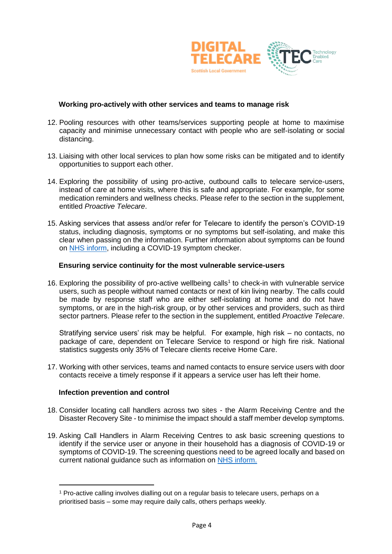

### **Working pro-actively with other services and teams to manage risk**

- 12. Pooling resources with other teams/services supporting people at home to maximise capacity and minimise unnecessary contact with people who are self-isolating or social distancing.
- 13. Liaising with other local services to plan how some risks can be mitigated and to identify opportunities to support each other.
- 14. Exploring the possibility of using pro-active, outbound calls to telecare service-users, instead of care at home visits, where this is safe and appropriate. For example, for some medication reminders and wellness checks. Please refer to the section in the supplement, entitled *Proactive Telecare*.
- 15. Asking services that assess and/or refer for Telecare to identify the person's COVID-19 status, including diagnosis, symptoms or no symptoms but self-isolating, and make this clear when passing on the information. Further information about symptoms can be found on [NHS inform,](https://www.nhsinform.scot/coronavirus) including a COVID-19 symptom checker.

### **Ensuring service continuity for the most vulnerable service-users**

16. Exploring the possibility of pro-active wellbeing calls<sup>1</sup> to check-in with vulnerable service users, such as people without named contacts or next of kin living nearby. The calls could be made by response staff who are either self-isolating at home and do not have symptoms, or are in the high-risk group, or by other services and providers, such as third sector partners. Please refer to the section in the supplement, entitled *Proactive Telecare*.

Stratifying service users' risk may be helpful. For example, high risk – no contacts, no package of care, dependent on Telecare Service to respond or high fire risk. National statistics suggests only 35% of Telecare clients receive Home Care.

17. Working with other services, teams and named contacts to ensure service users with door contacts receive a timely response if it appears a service user has left their home.

### **Infection prevention and control**

-

- 18. Consider locating call handlers across two sites the Alarm Receiving Centre and the Disaster Recovery Site - to minimise the impact should a staff member develop symptoms.
- 19. Asking Call Handlers in Alarm Receiving Centres to ask basic screening questions to identify if the service user or anyone in their household has a diagnosis of COVID-19 or symptoms of COVID-19. The screening questions need to be agreed locally and based on current national guidance such as information on [NHS inform.](https://www.nhsinform.scot/coronavirus)

<sup>1</sup> Pro-active calling involves dialling out on a regular basis to telecare users, perhaps on a prioritised basis – some may require daily calls, others perhaps weekly.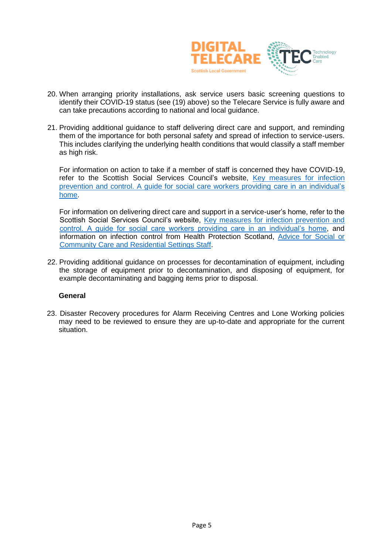

- 20. When arranging priority installations, ask service users basic screening questions to identify their COVID-19 status (see (19) above) so the Telecare Service is fully aware and can take precautions according to national and local guidance.
- 21. Providing additional guidance to staff delivering direct care and support, and reminding them of the importance for both personal safety and spread of infection to service-users. This includes clarifying the underlying health conditions that would classify a staff member as high risk.

For information on action to take if a member of staff is concerned they have COVID-19, refer to the Scottish Social Services Council's website, [Key measures for infection](https://learn.sssc.uk.com/coronavirus/infectioncontrol/)  [prevention and control. A guide for social care workers providing care in an individual's](https://learn.sssc.uk.com/coronavirus/infectioncontrol/)  [home.](https://learn.sssc.uk.com/coronavirus/infectioncontrol/)

For information on delivering direct care and support in a service-user's home, refer to the Scottish Social Services Council's website, [Key measures for infection prevention and](https://learn.sssc.uk.com/coronavirus/infectioncontrol/)  [control. A guide for social care workers providing care in an individual's home](https://learn.sssc.uk.com/coronavirus/infectioncontrol/)[,](https://www.gov.scot/coronavirus-covid-19/) and information on infection control from Health Protection Scotland, [Advice for Social or](https://www.hps.scot.nhs.uk/web-resources-container/covid-19-information-and-guidance-for-care-home-settings/)  [Community Care and Residential Settings Staff](https://www.hps.scot.nhs.uk/web-resources-container/covid-19-information-and-guidance-for-care-home-settings/)[.](https://www.hps.scot.nhs.uk/web-resources-container/covid-19-information-and-guidance-for-social-or-community-care-residential-settings/)

22. Providing additional guidance on processes for decontamination of equipment, including the storage of equipment prior to decontamination, and disposing of equipment, for example decontaminating and bagging items prior to disposal.

### **General**

23. Disaster Recovery procedures for Alarm Receiving Centres and Lone Working policies may need to be reviewed to ensure they are up-to-date and appropriate for the current situation.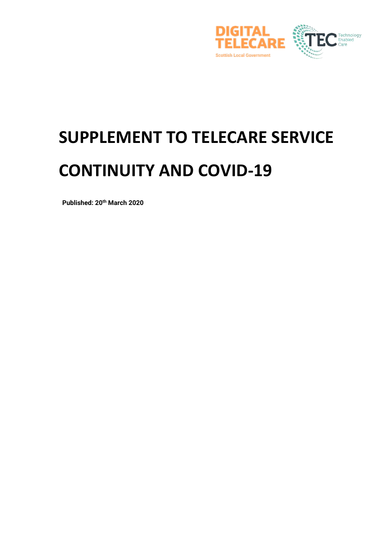

# **SUPPLEMENT TO TELECARE SERVICE CONTINUITY AND COVID-19**

 **Published: 20th March 2020**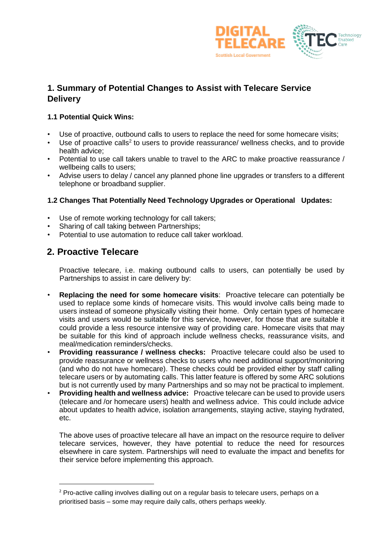

# **1. Summary of Potential Changes to Assist with Telecare Service Delivery**

### **1.1 Potential Quick Wins:**

- Use of proactive, outbound calls to users to replace the need for some homecare visits;
- $\cdot$  Use of proactive calls<sup>2</sup> to users to provide reassurance/ wellness checks, and to provide health advice;
- Potential to use call takers unable to travel to the ARC to make proactive reassurance / wellbeing calls to users;
- Advise users to delay / cancel any planned phone line upgrades or transfers to a different telephone or broadband supplier.

### **1.2 Changes That Potentially Need Technology Upgrades or Operational Updates:**

- Use of remote working technology for call takers;
- Sharing of call taking between Partnerships;
- Potential to use automation to reduce call taker workload.

### **2. Proactive Telecare**

-

Proactive telecare, i.e. making outbound calls to users, can potentially be used by Partnerships to assist in care delivery by:

- **Replacing the need for some homecare visits**: Proactive telecare can potentially be used to replace some kinds of homecare visits. This would involve calls being made to users instead of someone physically visiting their home. Only certain types of homecare visits and users would be suitable for this service, however, for those that are suitable it could provide a less resource intensive way of providing care. Homecare visits that may be suitable for this kind of approach include wellness checks, reassurance visits, and meal/medication reminders/checks.
- **Providing reassurance / wellness checks:** Proactive telecare could also be used to provide reassurance or wellness checks to users who need additional support/monitoring (and who do not have homecare). These checks could be provided either by staff calling telecare users or by automating calls. This latter feature is offered by some ARC solutions but is not currently used by many Partnerships and so may not be practical to implement.
- **Providing health and wellness advice:** Proactive telecare can be used to provide users (telecare and /or homecare users) health and wellness advice. This could include advice about updates to health advice, isolation arrangements, staying active, staying hydrated, etc.

The above uses of proactive telecare all have an impact on the resource require to deliver telecare services, however, they have potential to reduce the need for resources elsewhere in care system. Partnerships will need to evaluate the impact and benefits for their service before implementing this approach.

<sup>&</sup>lt;sup>2</sup> Pro-active calling involves dialling out on a regular basis to telecare users, perhaps on a prioritised basis – some may require daily calls, others perhaps weekly.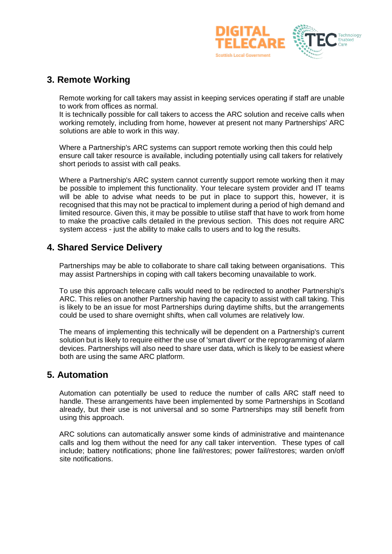

# **3. Remote Working**

Remote working for call takers may assist in keeping services operating if staff are unable to work from offices as normal.

It is technically possible for call takers to access the ARC solution and receive calls when working remotely, including from home, however at present not many Partnerships' ARC solutions are able to work in this way.

Where a Partnership's ARC systems can support remote working then this could help ensure call taker resource is available, including potentially using call takers for relatively short periods to assist with call peaks.

Where a Partnership's ARC system cannot currently support remote working then it may be possible to implement this functionality. Your telecare system provider and IT teams will be able to advise what needs to be put in place to support this, however, it is recognised that this may not be practical to implement during a period of high demand and limited resource. Given this, it may be possible to utilise staff that have to work from home to make the proactive calls detailed in the previous section. This does not require ARC system access - just the ability to make calls to users and to log the results.

# **4. Shared Service Delivery**

Partnerships may be able to collaborate to share call taking between organisations. This may assist Partnerships in coping with call takers becoming unavailable to work.

To use this approach telecare calls would need to be redirected to another Partnership's ARC. This relies on another Partnership having the capacity to assist with call taking. This is likely to be an issue for most Partnerships during daytime shifts, but the arrangements could be used to share overnight shifts, when call volumes are relatively low.

The means of implementing this technically will be dependent on a Partnership's current solution but is likely to require either the use of 'smart divert' or the reprogramming of alarm devices. Partnerships will also need to share user data, which is likely to be easiest where both are using the same ARC platform.

# **5. Automation**

Automation can potentially be used to reduce the number of calls ARC staff need to handle. These arrangements have been implemented by some Partnerships in Scotland already, but their use is not universal and so some Partnerships may still benefit from using this approach.

ARC solutions can automatically answer some kinds of administrative and maintenance calls and log them without the need for any call taker intervention. These types of call include; battery notifications; phone line fail/restores; power fail/restores; warden on/off site notifications.